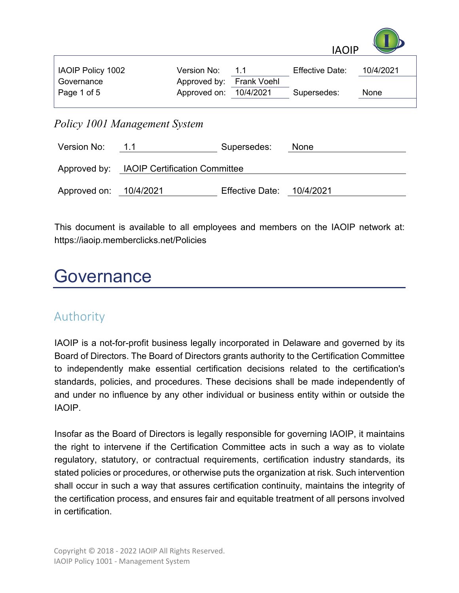

| <b>IAOIP Policy 1002</b> | Version No:              | 11 | <b>Effective Date:</b> | 10/4/2021 |
|--------------------------|--------------------------|----|------------------------|-----------|
| Governance               | Approved by: Frank Voehl |    |                        |           |
| Page 1 of 5              | Approved on: 10/4/2021   |    | Supersedes:            | None      |
|                          |                          |    |                        |           |

#### *Policy 1001 Management System*

| Version No:            | 1.1                                        | Supersedes:               | None |  |  |
|------------------------|--------------------------------------------|---------------------------|------|--|--|
|                        | Approved by: IAOIP Certification Committee |                           |      |  |  |
| Approved on: 10/4/2021 |                                            | Effective Date: 10/4/2021 |      |  |  |

This document is available to all employees and members on the IAOIP network at: https://iaoip.memberclicks.net/Policies

# Governance

#### Authority

IAOIP is a not-for-profit business legally incorporated in Delaware and governed by its Board of Directors. The Board of Directors grants authority to the Certification Committee to independently make essential certification decisions related to the certification's standards, policies, and procedures. These decisions shall be made independently of and under no influence by any other individual or business entity within or outside the IAOIP.

Insofar as the Board of Directors is legally responsible for governing IAOIP, it maintains the right to intervene if the Certification Committee acts in such a way as to violate regulatory, statutory, or contractual requirements, certification industry standards, its stated policies or procedures, or otherwise puts the organization at risk. Such intervention shall occur in such a way that assures certification continuity, maintains the integrity of the certification process, and ensures fair and equitable treatment of all persons involved in certification.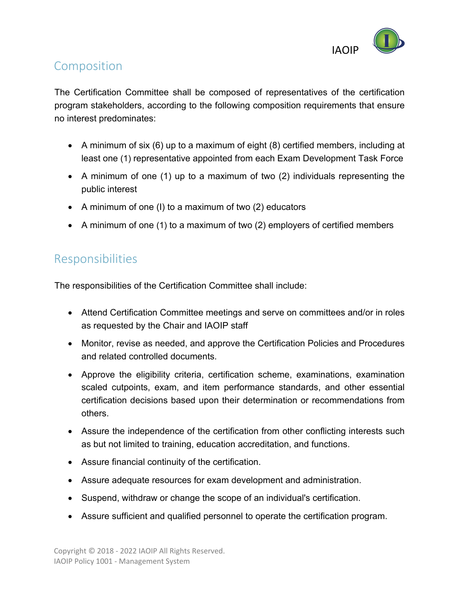

#### Composition

The Certification Committee shall be composed of representatives of the certification program stakeholders, according to the following composition requirements that ensure no interest predominates:

- A minimum of six (6) up to a maximum of eight (8) certified members, including at least one (1) representative appointed from each Exam Development Task Force
- A minimum of one (1) up to a maximum of two (2) individuals representing the public interest
- A minimum of one (I) to a maximum of two (2) educators
- A minimum of one (1) to a maximum of two (2) employers of certified members

## Responsibilities

The responsibilities of the Certification Committee shall include:

- Attend Certification Committee meetings and serve on committees and/or in roles as requested by the Chair and IAOIP staff
- Monitor, revise as needed, and approve the Certification Policies and Procedures and related controlled documents.
- Approve the eligibility criteria, certification scheme, examinations, examination scaled cutpoints, exam, and item performance standards, and other essential certification decisions based upon their determination or recommendations from others.
- Assure the independence of the certification from other conflicting interests such as but not limited to training, education accreditation, and functions.
- Assure financial continuity of the certification.
- Assure adequate resources for exam development and administration.
- Suspend, withdraw or change the scope of an individual's certification.
- Assure sufficient and qualified personnel to operate the certification program.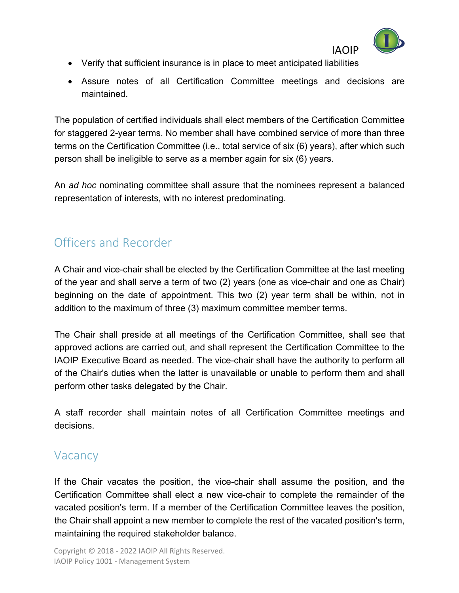

- Verify that sufficient insurance is in place to meet anticipated liabilities
- Assure notes of all Certification Committee meetings and decisions are maintained.

The population of certified individuals shall elect members of the Certification Committee for staggered 2-year terms. No member shall have combined service of more than three terms on the Certification Committee (i.e., total service of six (6) years), after which such person shall be ineligible to serve as a member again for six (6) years.

An *ad hoc* nominating committee shall assure that the nominees represent a balanced representation of interests, with no interest predominating.

## Officers and Recorder

A Chair and vice-chair shall be elected by the Certification Committee at the last meeting of the year and shall serve a term of two (2) years (one as vice-chair and one as Chair) beginning on the date of appointment. This two (2) year term shall be within, not in addition to the maximum of three (3) maximum committee member terms.

The Chair shall preside at all meetings of the Certification Committee, shall see that approved actions are carried out, and shall represent the Certification Committee to the IAOIP Executive Board as needed. The vice-chair shall have the authority to perform all of the Chair's duties when the latter is unavailable or unable to perform them and shall perform other tasks delegated by the Chair.

A staff recorder shall maintain notes of all Certification Committee meetings and decisions.

#### **Vacancy**

If the Chair vacates the position, the vice-chair shall assume the position, and the Certification Committee shall elect a new vice-chair to complete the remainder of the vacated position's term. If a member of the Certification Committee leaves the position, the Chair shall appoint a new member to complete the rest of the vacated position's term, maintaining the required stakeholder balance.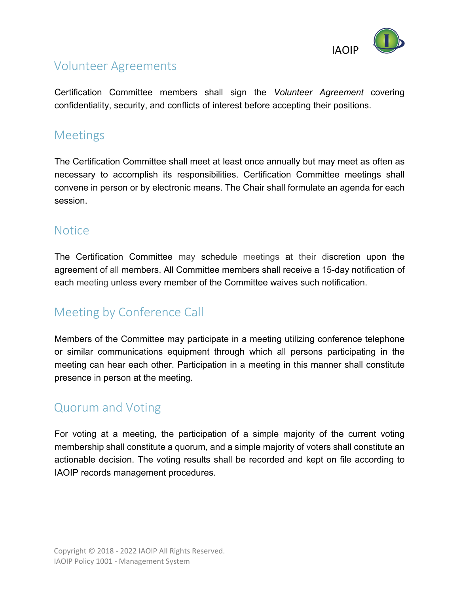

## Volunteer Agreements

Certification Committee members shall sign the *Volunteer Agreement* covering confidentiality, security, and conflicts of interest before accepting their positions.

### Meetings

The Certification Committee shall meet at least once annually but may meet as often as necessary to accomplish its responsibilities. Certification Committee meetings shall convene in person or by electronic means. The Chair shall formulate an agenda for each session.

#### **Notice**

The Certification Committee may schedule meetings at their discretion upon the agreement of all members. All Committee members shall receive a 15-day notification of each meeting unless every member of the Committee waives such notification.

## Meeting by Conference Call

Members of the Committee may participate in a meeting utilizing conference telephone or similar communications equipment through which all persons participating in the meeting can hear each other. Participation in a meeting in this manner shall constitute presence in person at the meeting.

## Quorum and Voting

For voting at a meeting, the participation of a simple majority of the current voting membership shall constitute a quorum, and a simple majority of voters shall constitute an actionable decision. The voting results shall be recorded and kept on file according to IAOIP records management procedures.